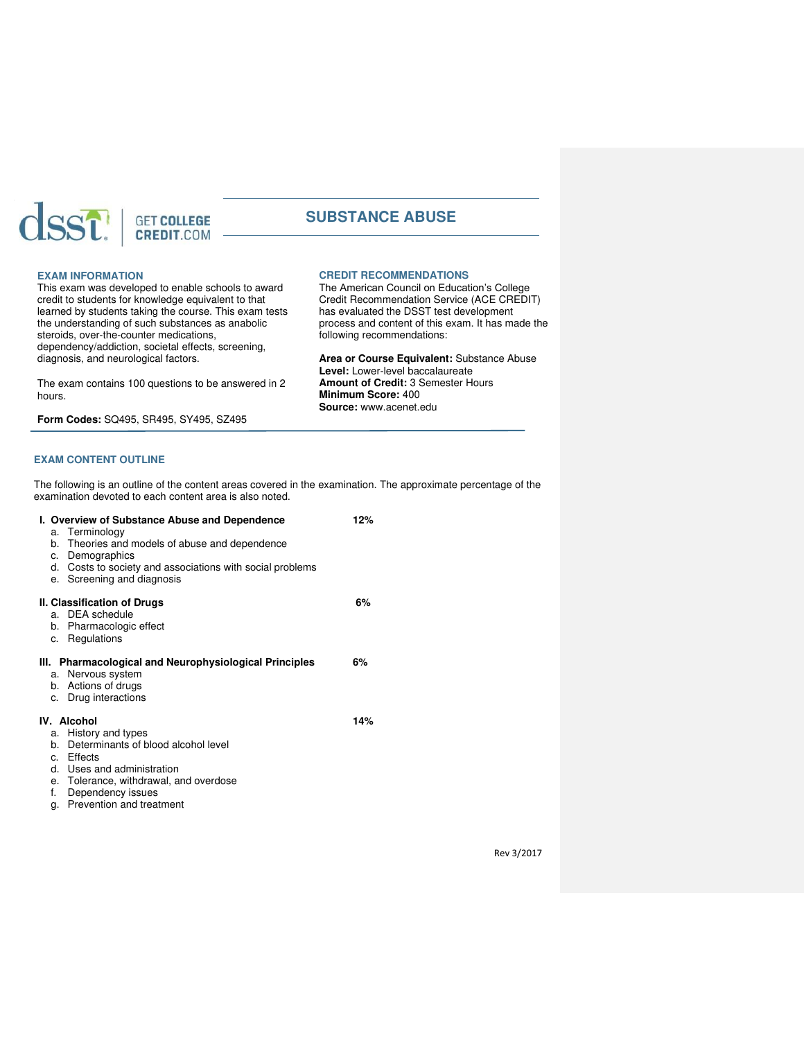

# **SUBSTANCE ABUSE**

**CREDIT RECOMMENDATIONS**

following recommendations:

**Minimum Score:** 400 **Source:** [www.acenet.edu](http://www.acenet.edu/) 

**Level:** Lower-level baccalaureate **Amount of Credit:** 3 Semester Hours

The American Council on Education's College Credit Recommendation Service (ACE CREDIT) has evaluated the DSST test development process and content of this exam. It has made the

**Area or Course Equivalent:** Substance Abuse

### **EXAM INFORMATION**

This exam was developed to enable schools to award credit to students for knowledge equivalent to that learned by students taking the course. This exam tests the understanding of such substances as anabolic steroids, over-the-counter medications, dependency/addiction, societal effects, screening, diagnosis, and neurological factors.

The exam contains 100 questions to be answered in 2 hours.

**Form Codes:** SQ495, SR495, SY495, SZ495

# **EXAM CONTENT OUTLINE**

The following is an outline of the content areas covered in the examination. The approximate percentage of the examination devoted to each content area is also noted.

| I. Overview of Substance Abuse and Dependence                |                                                           |  |  |  |  |
|--------------------------------------------------------------|-----------------------------------------------------------|--|--|--|--|
|                                                              | a. Terminology                                            |  |  |  |  |
| b.                                                           | Theories and models of abuse and dependence               |  |  |  |  |
| c.                                                           | Demographics                                              |  |  |  |  |
|                                                              | d. Costs to society and associations with social problems |  |  |  |  |
|                                                              | e. Screening and diagnosis                                |  |  |  |  |
| 6%<br>II. Classification of Drugs                            |                                                           |  |  |  |  |
|                                                              | a. DEA schedule                                           |  |  |  |  |
|                                                              | b. Pharmacologic effect                                   |  |  |  |  |
|                                                              | c. Regulations                                            |  |  |  |  |
| III. Pharmacological and Neurophysiological Principles<br>6% |                                                           |  |  |  |  |
|                                                              | a. Nervous system                                         |  |  |  |  |
|                                                              | b. Actions of drugs                                       |  |  |  |  |
|                                                              | c. Drug interactions                                      |  |  |  |  |
| IV. Alcohol<br>14%                                           |                                                           |  |  |  |  |
|                                                              | a. History and types                                      |  |  |  |  |
|                                                              | b. Determinants of blood alcohol level                    |  |  |  |  |
|                                                              | c. Effects                                                |  |  |  |  |
|                                                              | d. Uses and administration                                |  |  |  |  |
|                                                              | e. Tolerance, withdrawal, and overdose                    |  |  |  |  |
| f.                                                           | Dependency issues                                         |  |  |  |  |
| α.                                                           | Prevention and treatment                                  |  |  |  |  |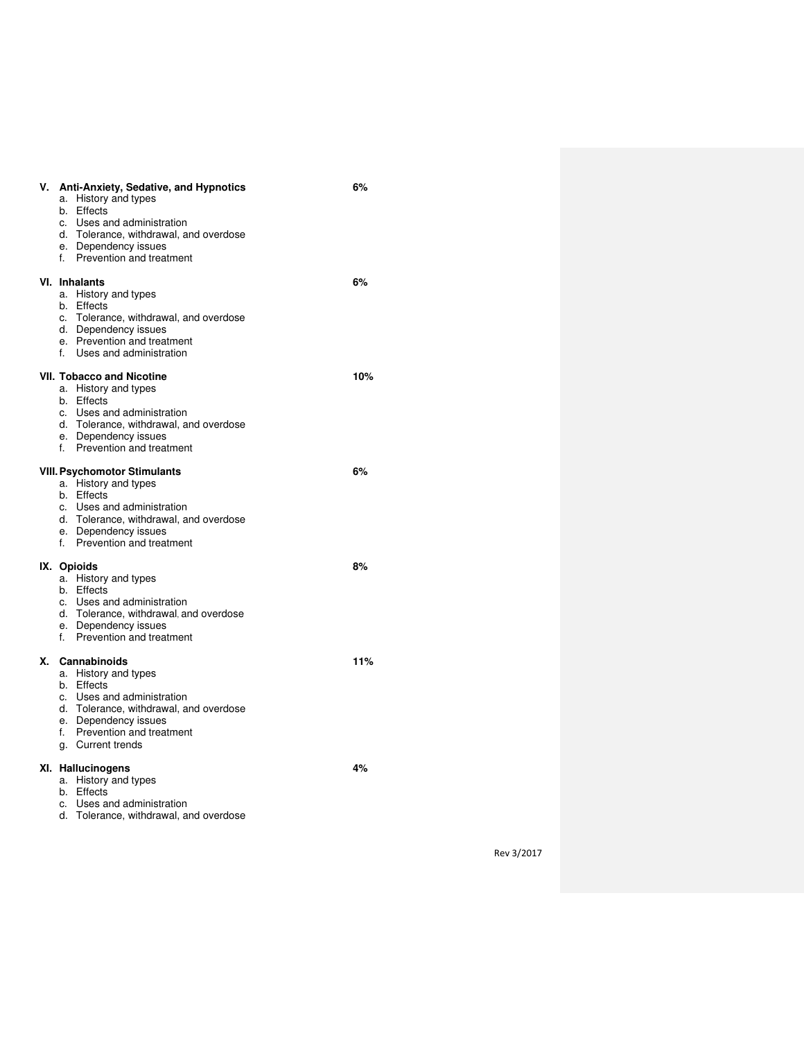| ۷. | Anti-Anxiety, Sedative, and Hypnotics<br>History and types<br>a.<br>Effects<br>b.<br>Uses and administration<br>c.<br>d. Tolerance, withdrawal, and overdose<br>e. Dependency issues<br>f. Prevention and treatment | 6%  |
|----|---------------------------------------------------------------------------------------------------------------------------------------------------------------------------------------------------------------------|-----|
|    | VI. Inhalants<br>a. History and types<br>b. Effects<br>c. Tolerance, withdrawal, and overdose<br>d. Dependency issues<br>e. Prevention and treatment<br>Uses and administration<br>f.                               | 6%  |
|    | <b>VII. Tobacco and Nicotine</b><br>a. History and types<br>b. Effects<br>c. Uses and administration<br>d. Tolerance, withdrawal, and overdose<br>e. Dependency issues<br>Prevention and treatment<br>f.            | 10% |
|    | <b>VIII. Psychomotor Stimulants</b><br>a. History and types<br>b. Effects<br>c. Uses and administration<br>d. Tolerance, withdrawal, and overdose<br>e. Dependency issues<br>f. Prevention and treatment            | 6%  |
|    | IX. Opioids<br>a. History and types<br>b. Effects<br>Uses and administration<br>C.<br>d. Tolerance, withdrawal, and overdose<br>e. Dependency issues<br>Prevention and treatment<br>f.                              | 8%  |
| х. | Cannabinoids<br>a. History and types<br>b. Effects<br>c. Uses and administration<br>d. Tolerance, withdrawal, and overdose<br>e. Dependency issues<br>f. Prevention and treatment<br>g. Current trends              | 11% |
|    | XI. Hallucinogens<br>History and types<br>a.<br>Effects<br>b.<br>Uses and administration<br>c.                                                                                                                      | 4%  |

d. Tolerance, withdrawal, and overdose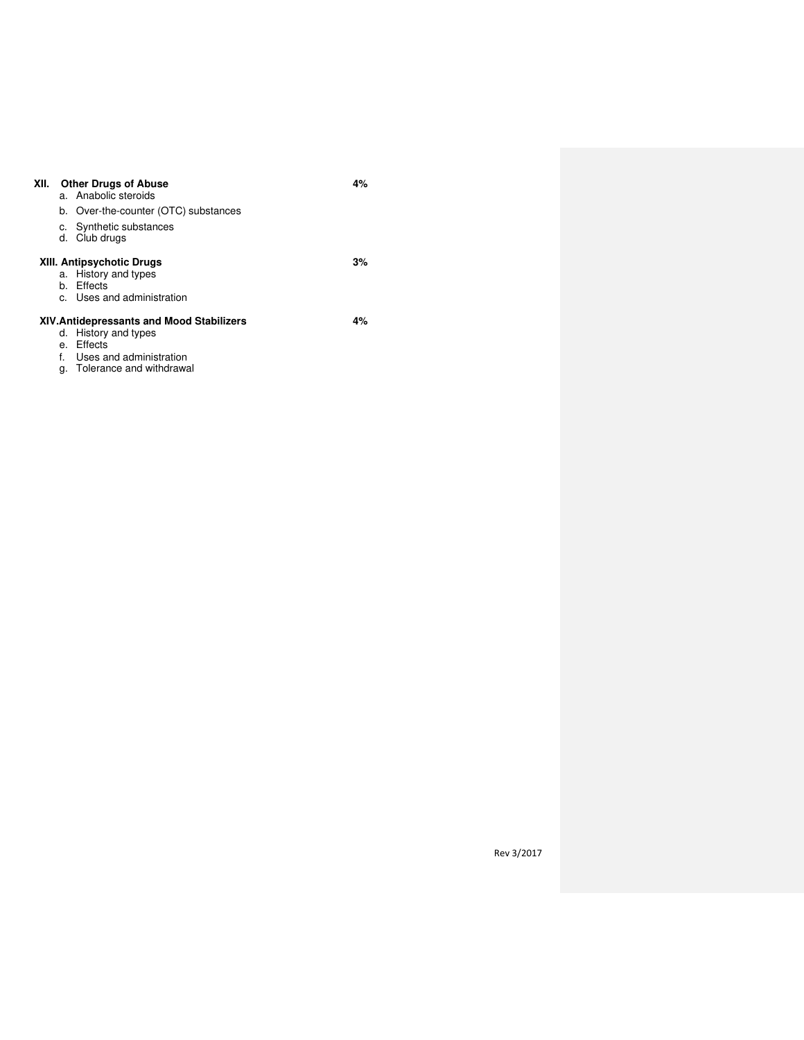| XII.                                      |                                  | <b>Other Drugs of Abuse</b><br>a. Anabolic steroids | 4% |  |
|-------------------------------------------|----------------------------------|-----------------------------------------------------|----|--|
|                                           |                                  | b. Over-the-counter (OTC) substances                |    |  |
|                                           | с.                               | Synthetic substances<br>d. Club drugs               |    |  |
|                                           | <b>XIII. Antipsychotic Drugs</b> | 3%                                                  |    |  |
|                                           |                                  | a. History and types                                |    |  |
|                                           |                                  | b. Effects                                          |    |  |
|                                           |                                  | c. Uses and administration                          |    |  |
| XIV. Antidepressants and Mood Stabilizers |                                  |                                                     |    |  |
|                                           |                                  | d. History and types                                |    |  |
|                                           |                                  | e. Effects                                          |    |  |
|                                           | f.                               | Uses and administration                             |    |  |
|                                           |                                  | g. Tolerance and withdrawal                         |    |  |

Rev 3/2017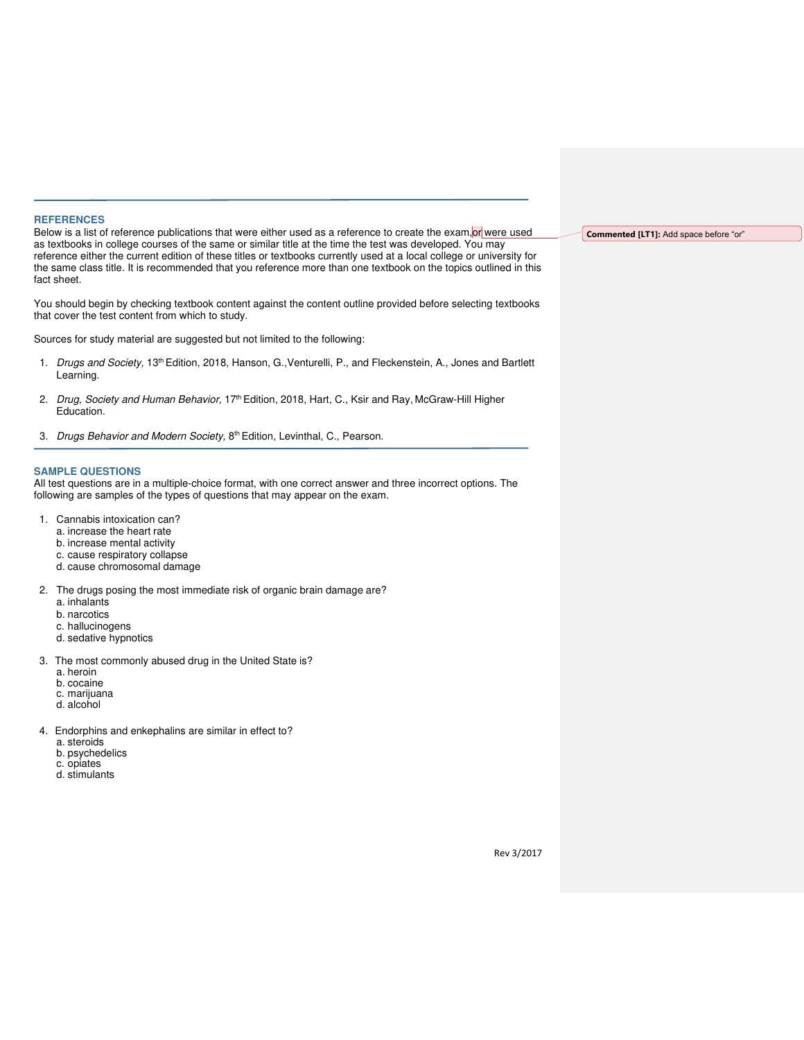#### **REFERENCES**

Below is a list of reference publications that were either used as a reference to create the exam, or were used as textbooks in college courses of the same or similar title at the time the test was developed. You may reference either the current edition of these titles or textbooks currently used at a local college or university for the same class title. It is recommended that you reference more than one textbook on the topics outlined in this fact sheet.

You should begin by checking textbook content against the content outline provided before selecting textbooks that cover the test content from which to study.

Sources for study material are suggested but not limited to the following:

- 1. Drugs and Society, 13<sup>th</sup> Edition, 2018, Hanson, G., Venturelli, P., and Fleckenstein, A., Jones and Bartlett Learning.
- 2. Drug, Society and Human Behavior, 17<sup>th</sup> Edition, 2018, Hart, C., Ksir and Ray, McGraw-Hill Higher Education.
- 3. Drugs Behavior and Modern Society, 8<sup>th</sup> Edition, Levinthal, C., Pearson.

#### **SAMPLE QUESTIONS**

All test questions are in a multiple-choice format, with one correct answer and three incorrect options. The following are samples of the types of questions that may appear on the exam.

- 1. Cannabis intoxication can?
	- a. increase the heart rate
	- b. increase mental activity
	- c. cause respiratory collapse
	- d. cause chromosomal damage
- 2. The drugs posing the most immediate risk of organic brain damage are?
	- a. inhalants
	- b. narcotics
	- c. hallucinogens
	- d. sedative hypnotics
- 3. The most commonly abused drug in the United State is?
	- a. heroin
	- b. cocaine c. marijuana
	- d. alcohol
	-
- 4. Endorphins and enkephalins are similar in effect to?
	- a. steroids
	- b. psychedelics c. opiates
	- d. stimulants

## **Commented [LT1]:** Add space before "or"